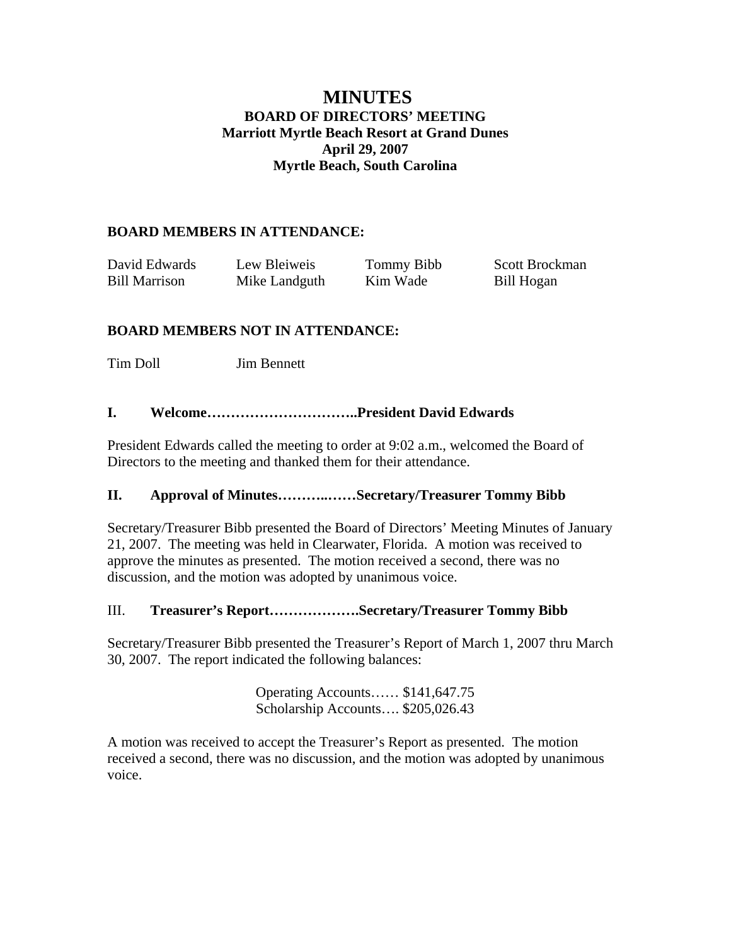# **MINUTES BOARD OF DIRECTORS' MEETING Marriott Myrtle Beach Resort at Grand Dunes April 29, 2007 Myrtle Beach, South Carolina**

## **BOARD MEMBERS IN ATTENDANCE:**

| David Edwards        | Lew Bleiweis  | Tommy Bibb | Scott Brockman |
|----------------------|---------------|------------|----------------|
| <b>Bill Marrison</b> | Mike Landguth | Kim Wade   | Bill Hogan     |

# **BOARD MEMBERS NOT IN ATTENDANCE:**

Tim Doll Jim Bennett

## **I. Welcome…………………………..President David Edwards**

President Edwards called the meeting to order at 9:02 a.m., welcomed the Board of Directors to the meeting and thanked them for their attendance.

#### **II. Approval of Minutes………..……Secretary/Treasurer Tommy Bibb**

Secretary/Treasurer Bibb presented the Board of Directors' Meeting Minutes of January 21, 2007. The meeting was held in Clearwater, Florida. A motion was received to approve the minutes as presented. The motion received a second, there was no discussion, and the motion was adopted by unanimous voice.

#### III. **Treasurer's Report……………….Secretary/Treasurer Tommy Bibb**

Secretary/Treasurer Bibb presented the Treasurer's Report of March 1, 2007 thru March 30, 2007. The report indicated the following balances:

> Operating Accounts…… \$141,647.75 Scholarship Accounts…. \$205,026.43

A motion was received to accept the Treasurer's Report as presented. The motion received a second, there was no discussion, and the motion was adopted by unanimous voice.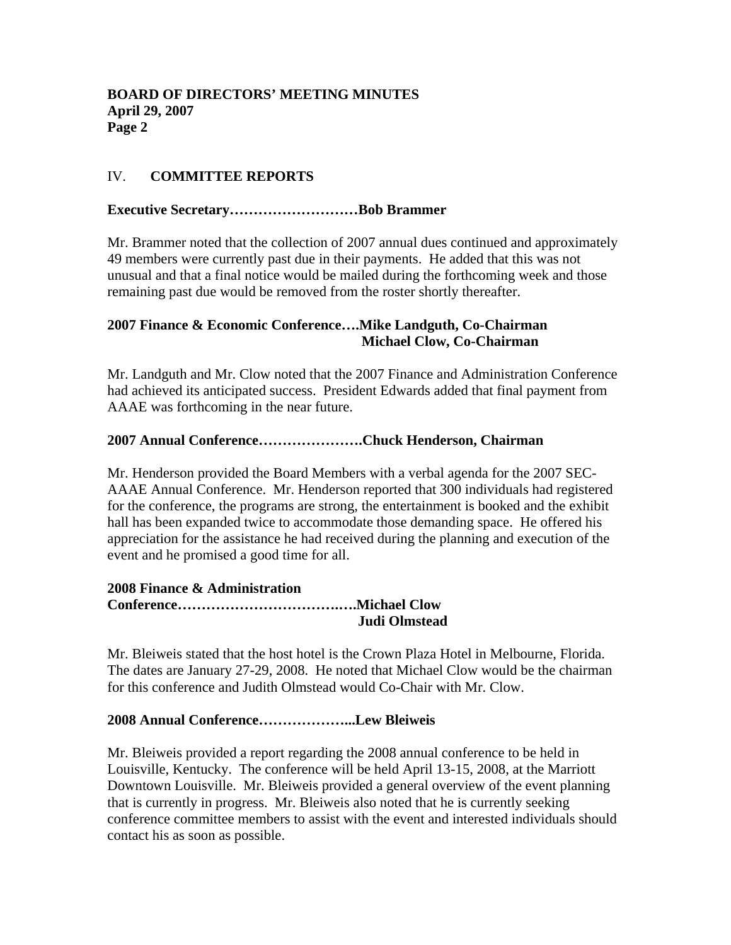# IV. **COMMITTEE REPORTS**

### **Executive Secretary………………………Bob Brammer**

Mr. Brammer noted that the collection of 2007 annual dues continued and approximately 49 members were currently past due in their payments. He added that this was not unusual and that a final notice would be mailed during the forthcoming week and those remaining past due would be removed from the roster shortly thereafter.

# **2007 Finance & Economic Conference….Mike Landguth, Co-Chairman Michael Clow, Co-Chairman**

Mr. Landguth and Mr. Clow noted that the 2007 Finance and Administration Conference had achieved its anticipated success. President Edwards added that final payment from AAAE was forthcoming in the near future.

#### **2007 Annual Conference………………….Chuck Henderson, Chairman**

Mr. Henderson provided the Board Members with a verbal agenda for the 2007 SEC-AAAE Annual Conference. Mr. Henderson reported that 300 individuals had registered for the conference, the programs are strong, the entertainment is booked and the exhibit hall has been expanded twice to accommodate those demanding space. He offered his appreciation for the assistance he had received during the planning and execution of the event and he promised a good time for all.

#### **2008 Finance & Administration Conference…………………………….….Michael Clow Judi Olmstead**

Mr. Bleiweis stated that the host hotel is the Crown Plaza Hotel in Melbourne, Florida. The dates are January 27-29, 2008. He noted that Michael Clow would be the chairman for this conference and Judith Olmstead would Co-Chair with Mr. Clow.

#### **2008 Annual Conference………………...Lew Bleiweis**

Mr. Bleiweis provided a report regarding the 2008 annual conference to be held in Louisville, Kentucky. The conference will be held April 13-15, 2008, at the Marriott Downtown Louisville. Mr. Bleiweis provided a general overview of the event planning that is currently in progress. Mr. Bleiweis also noted that he is currently seeking conference committee members to assist with the event and interested individuals should contact his as soon as possible.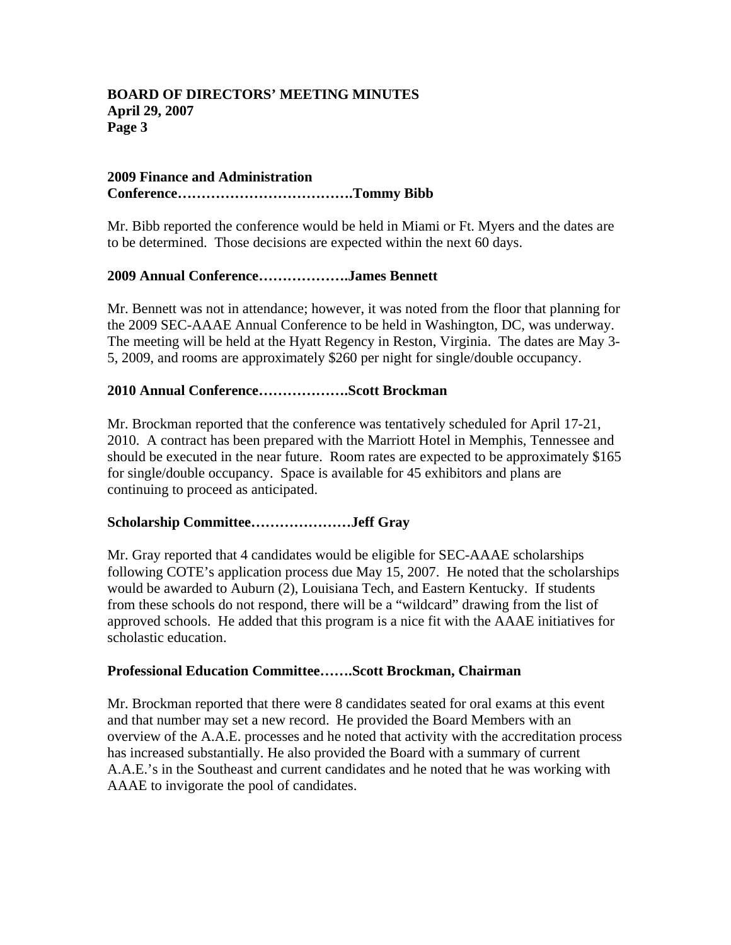### **BOARD OF DIRECTORS' MEETING MINUTES April 29, 2007 Page 3**

#### **2009 Finance and Administration Conference……………………………….Tommy Bibb**

Mr. Bibb reported the conference would be held in Miami or Ft. Myers and the dates are to be determined. Those decisions are expected within the next 60 days.

## **2009 Annual Conference……………….James Bennett**

Mr. Bennett was not in attendance; however, it was noted from the floor that planning for the 2009 SEC-AAAE Annual Conference to be held in Washington, DC, was underway. The meeting will be held at the Hyatt Regency in Reston, Virginia. The dates are May 3- 5, 2009, and rooms are approximately \$260 per night for single/double occupancy.

### **2010 Annual Conference……………….Scott Brockman**

Mr. Brockman reported that the conference was tentatively scheduled for April 17-21, 2010. A contract has been prepared with the Marriott Hotel in Memphis, Tennessee and should be executed in the near future. Room rates are expected to be approximately \$165 for single/double occupancy. Space is available for 45 exhibitors and plans are continuing to proceed as anticipated.

#### **Scholarship Committee…………………Jeff Gray**

Mr. Gray reported that 4 candidates would be eligible for SEC-AAAE scholarships following COTE's application process due May 15, 2007. He noted that the scholarships would be awarded to Auburn (2), Louisiana Tech, and Eastern Kentucky. If students from these schools do not respond, there will be a "wildcard" drawing from the list of approved schools. He added that this program is a nice fit with the AAAE initiatives for scholastic education.

#### **Professional Education Committee…….Scott Brockman, Chairman**

Mr. Brockman reported that there were 8 candidates seated for oral exams at this event and that number may set a new record. He provided the Board Members with an overview of the A.A.E. processes and he noted that activity with the accreditation process has increased substantially. He also provided the Board with a summary of current A.A.E.'s in the Southeast and current candidates and he noted that he was working with AAAE to invigorate the pool of candidates.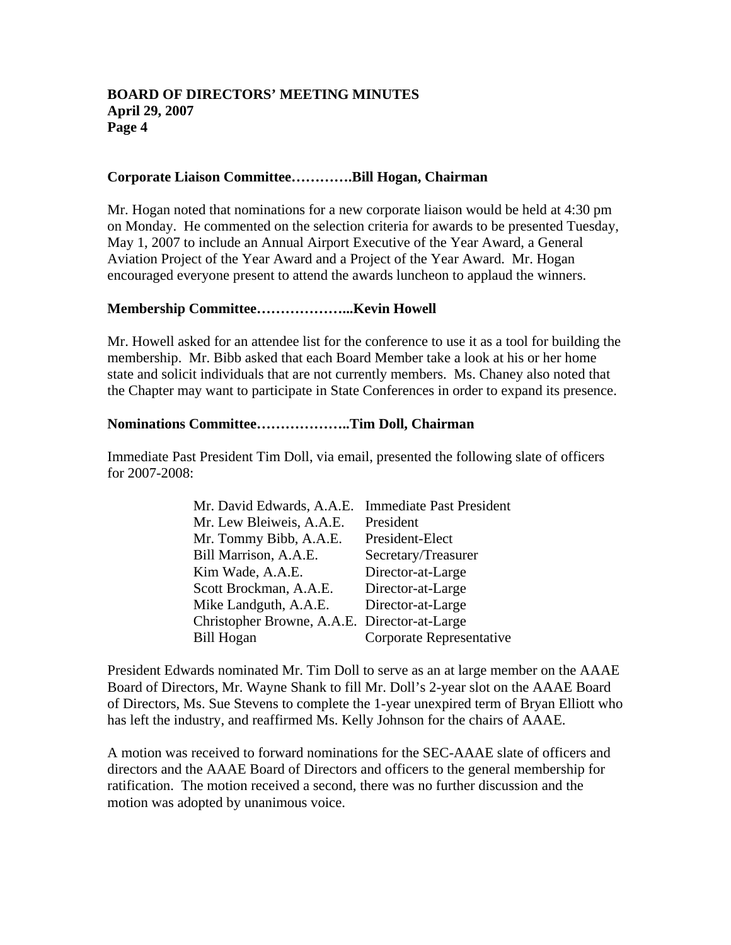#### **BOARD OF DIRECTORS' MEETING MINUTES April 29, 2007 Page 4**

#### **Corporate Liaison Committee………….Bill Hogan, Chairman**

Mr. Hogan noted that nominations for a new corporate liaison would be held at 4:30 pm on Monday. He commented on the selection criteria for awards to be presented Tuesday, May 1, 2007 to include an Annual Airport Executive of the Year Award, a General Aviation Project of the Year Award and a Project of the Year Award. Mr. Hogan encouraged everyone present to attend the awards luncheon to applaud the winners.

#### **Membership Committee………………...Kevin Howell**

Mr. Howell asked for an attendee list for the conference to use it as a tool for building the membership. Mr. Bibb asked that each Board Member take a look at his or her home state and solicit individuals that are not currently members. Ms. Chaney also noted that the Chapter may want to participate in State Conferences in order to expand its presence.

#### **Nominations Committee………………..Tim Doll, Chairman**

Immediate Past President Tim Doll, via email, presented the following slate of officers for 2007-2008:

| Mr. David Edwards, A.A.E.                    | <b>Immediate Past President</b> |
|----------------------------------------------|---------------------------------|
| Mr. Lew Bleiweis, A.A.E.                     | President                       |
| Mr. Tommy Bibb, A.A.E.                       | President-Elect                 |
| Bill Marrison, A.A.E.                        | Secretary/Treasurer             |
| Kim Wade, A.A.E.                             | Director-at-Large               |
| Scott Brockman, A.A.E.                       | Director-at-Large               |
| Mike Landguth, A.A.E.                        | Director-at-Large               |
| Christopher Browne, A.A.E. Director-at-Large |                                 |
| <b>Bill Hogan</b>                            | Corporate Representative        |

President Edwards nominated Mr. Tim Doll to serve as an at large member on the AAAE Board of Directors, Mr. Wayne Shank to fill Mr. Doll's 2-year slot on the AAAE Board of Directors, Ms. Sue Stevens to complete the 1-year unexpired term of Bryan Elliott who has left the industry, and reaffirmed Ms. Kelly Johnson for the chairs of AAAE.

A motion was received to forward nominations for the SEC-AAAE slate of officers and directors and the AAAE Board of Directors and officers to the general membership for ratification. The motion received a second, there was no further discussion and the motion was adopted by unanimous voice.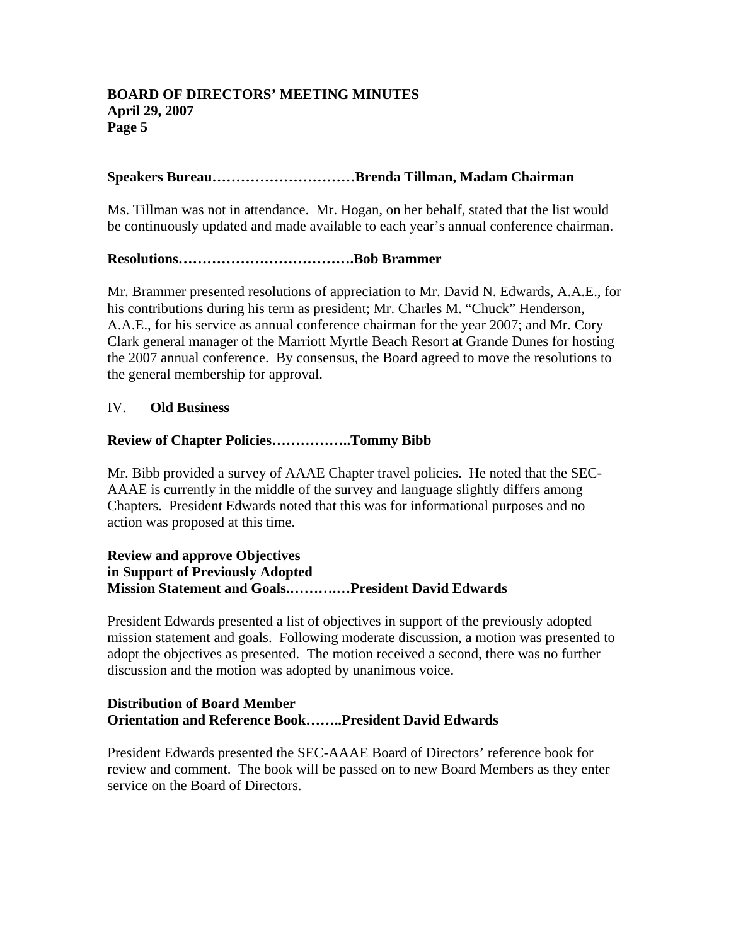### **BOARD OF DIRECTORS' MEETING MINUTES April 29, 2007 Page 5**

#### **Speakers Bureau…………………………Brenda Tillman, Madam Chairman**

Ms. Tillman was not in attendance. Mr. Hogan, on her behalf, stated that the list would be continuously updated and made available to each year's annual conference chairman.

## **Resolutions……………………………….Bob Brammer**

Mr. Brammer presented resolutions of appreciation to Mr. David N. Edwards, A.A.E., for his contributions during his term as president; Mr. Charles M. "Chuck" Henderson, A.A.E., for his service as annual conference chairman for the year 2007; and Mr. Cory Clark general manager of the Marriott Myrtle Beach Resort at Grande Dunes for hosting the 2007 annual conference. By consensus, the Board agreed to move the resolutions to the general membership for approval.

#### IV. **Old Business**

#### **Review of Chapter Policies……………..Tommy Bibb**

Mr. Bibb provided a survey of AAAE Chapter travel policies. He noted that the SEC-AAAE is currently in the middle of the survey and language slightly differs among Chapters. President Edwards noted that this was for informational purposes and no action was proposed at this time.

# **Review and approve Objectives in Support of Previously Adopted Mission Statement and Goals.……….…President David Edwards**

President Edwards presented a list of objectives in support of the previously adopted mission statement and goals. Following moderate discussion, a motion was presented to adopt the objectives as presented. The motion received a second, there was no further discussion and the motion was adopted by unanimous voice.

## **Distribution of Board Member Orientation and Reference Book……..President David Edwards**

President Edwards presented the SEC-AAAE Board of Directors' reference book for review and comment. The book will be passed on to new Board Members as they enter service on the Board of Directors.